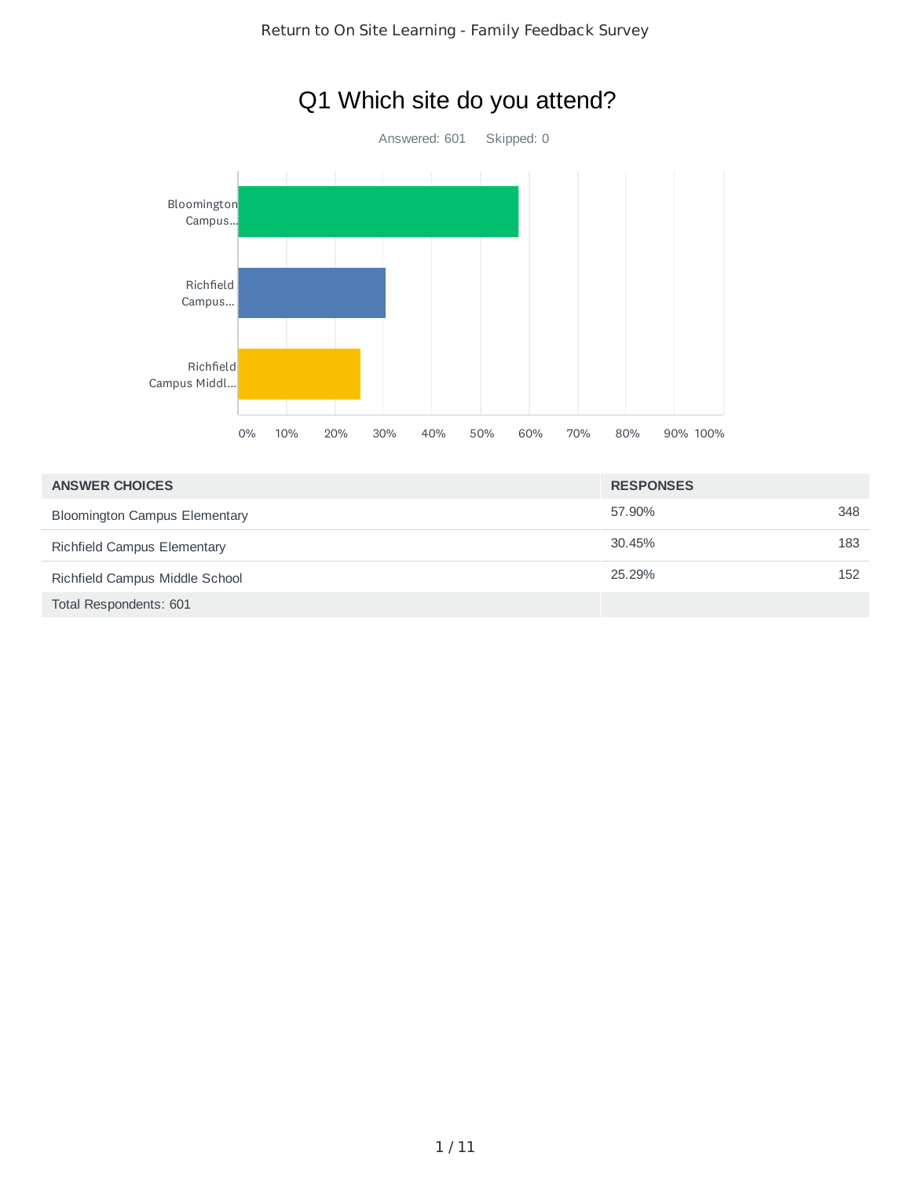

# Q1 Which site do you attend?

| <b>ANSWER CHOICES</b>                | <b>RESPONSES</b> |     |
|--------------------------------------|------------------|-----|
| <b>Bloomington Campus Elementary</b> | 57.90%           | 348 |
| Richfield Campus Elementary          | 30.45%           | 183 |
| Richfield Campus Middle School       | 25.29%           | 152 |
| Total Respondents: 601               |                  |     |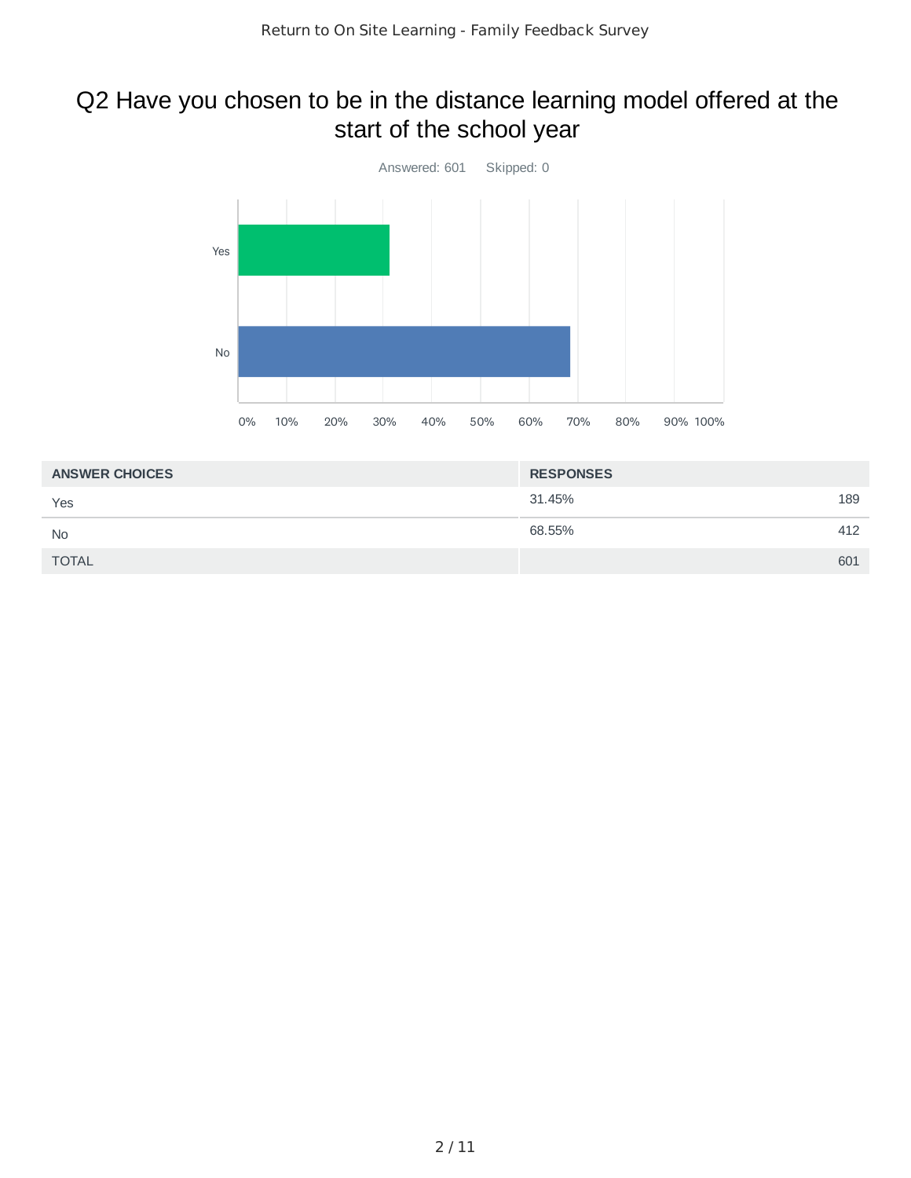## Q2 Have you chosen to be in the distance learning model offered at the start of the school year



| <b>ANSWER CHOICES</b> | <b>RESPONSES</b> |     |
|-----------------------|------------------|-----|
| Yes                   | 31.45%           | 189 |
| <b>No</b>             | 68.55%           | 412 |
| <b>TOTAL</b>          |                  | 601 |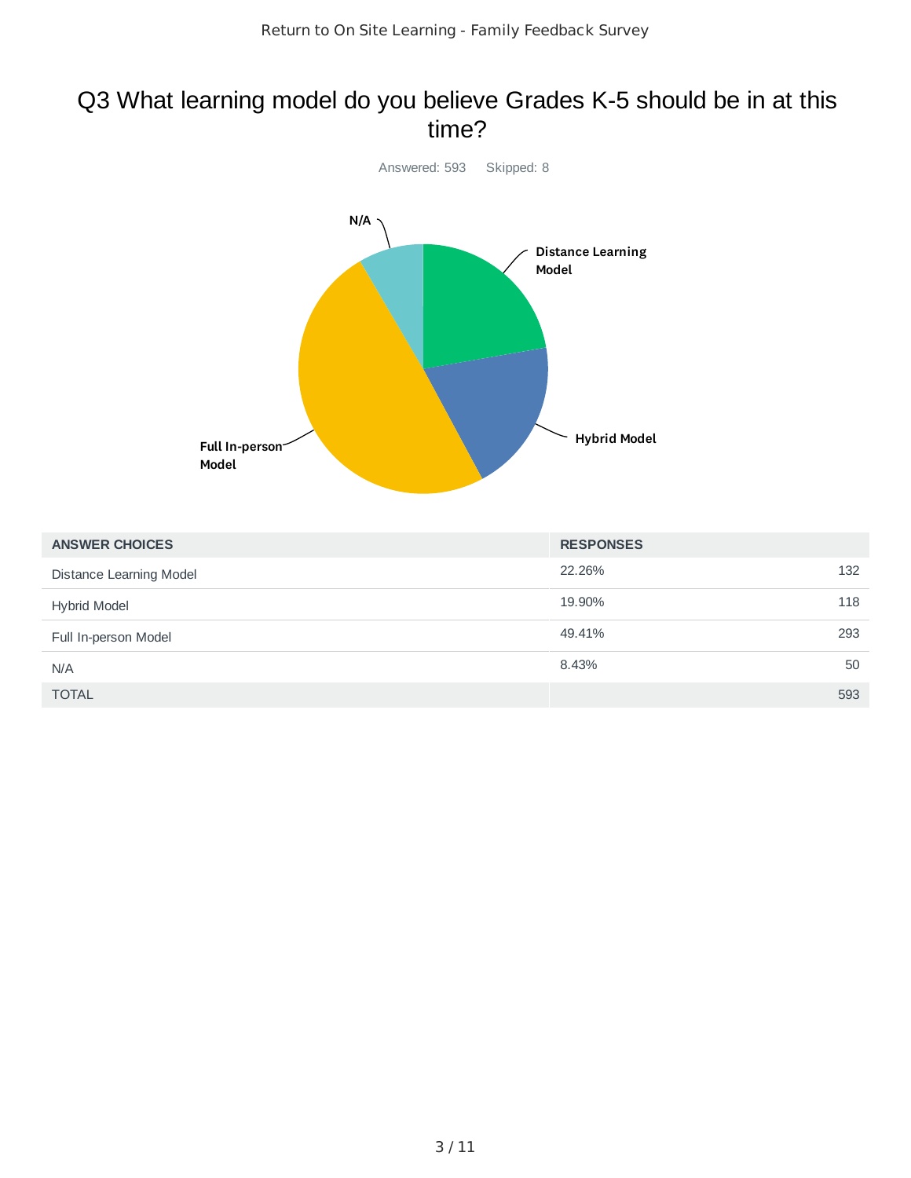### Q3 What learning model do you believe Grades K-5 should be in at this time?



| <b>ANSWER CHOICES</b>   | <b>RESPONSES</b> |     |
|-------------------------|------------------|-----|
| Distance Learning Model | 22.26%           | 132 |
| <b>Hybrid Model</b>     | 19.90%           | 118 |
| Full In-person Model    | 49.41%           | 293 |
| N/A                     | 8.43%            | 50  |
| <b>TOTAL</b>            |                  | 593 |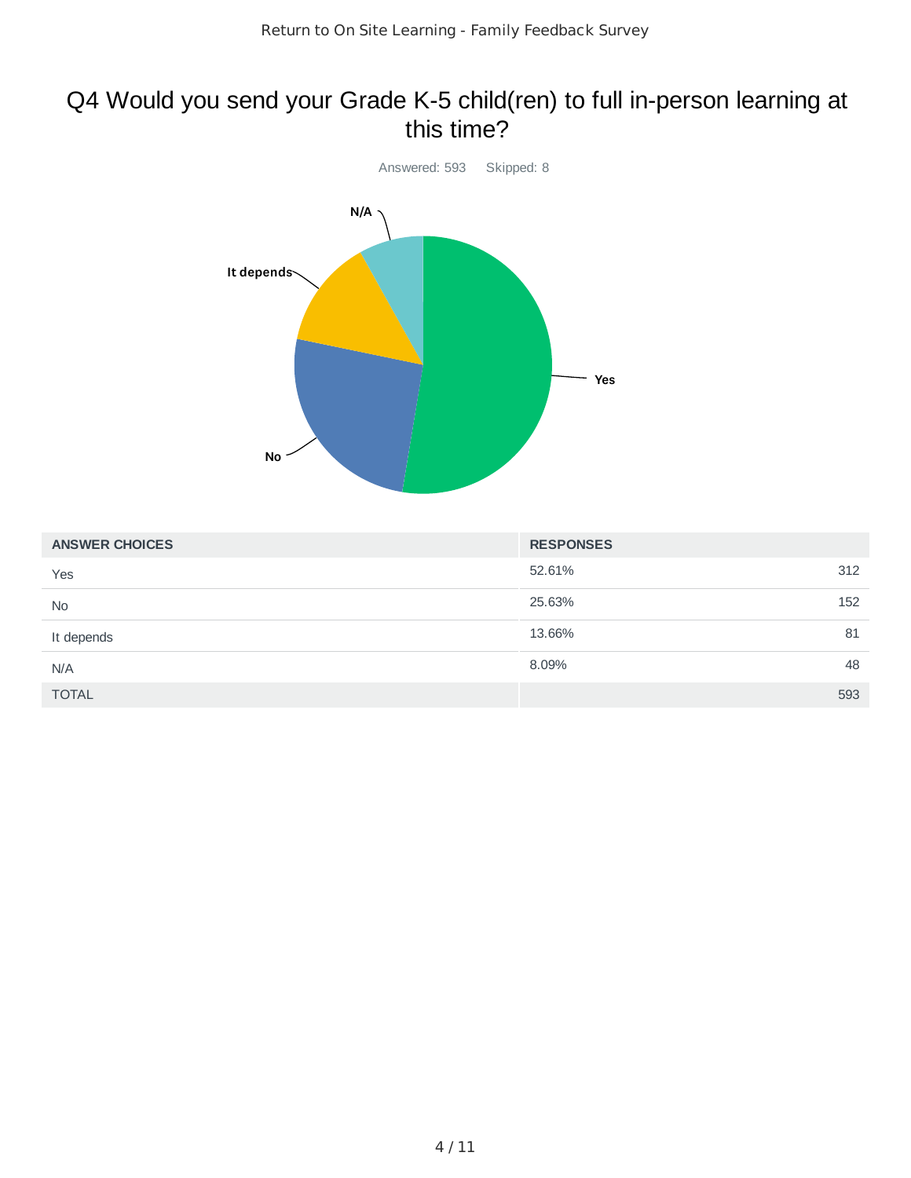### Q4 Would you send your Grade K-5 child(ren) to full in-person learning at this time?



| <b>ANSWER CHOICES</b> | <b>RESPONSES</b> |     |
|-----------------------|------------------|-----|
| Yes                   | 52.61%           | 312 |
| No                    | 25.63%           | 152 |
| It depends            | 13.66%           | 81  |
| N/A                   | 8.09%            | 48  |
| <b>TOTAL</b>          |                  | 593 |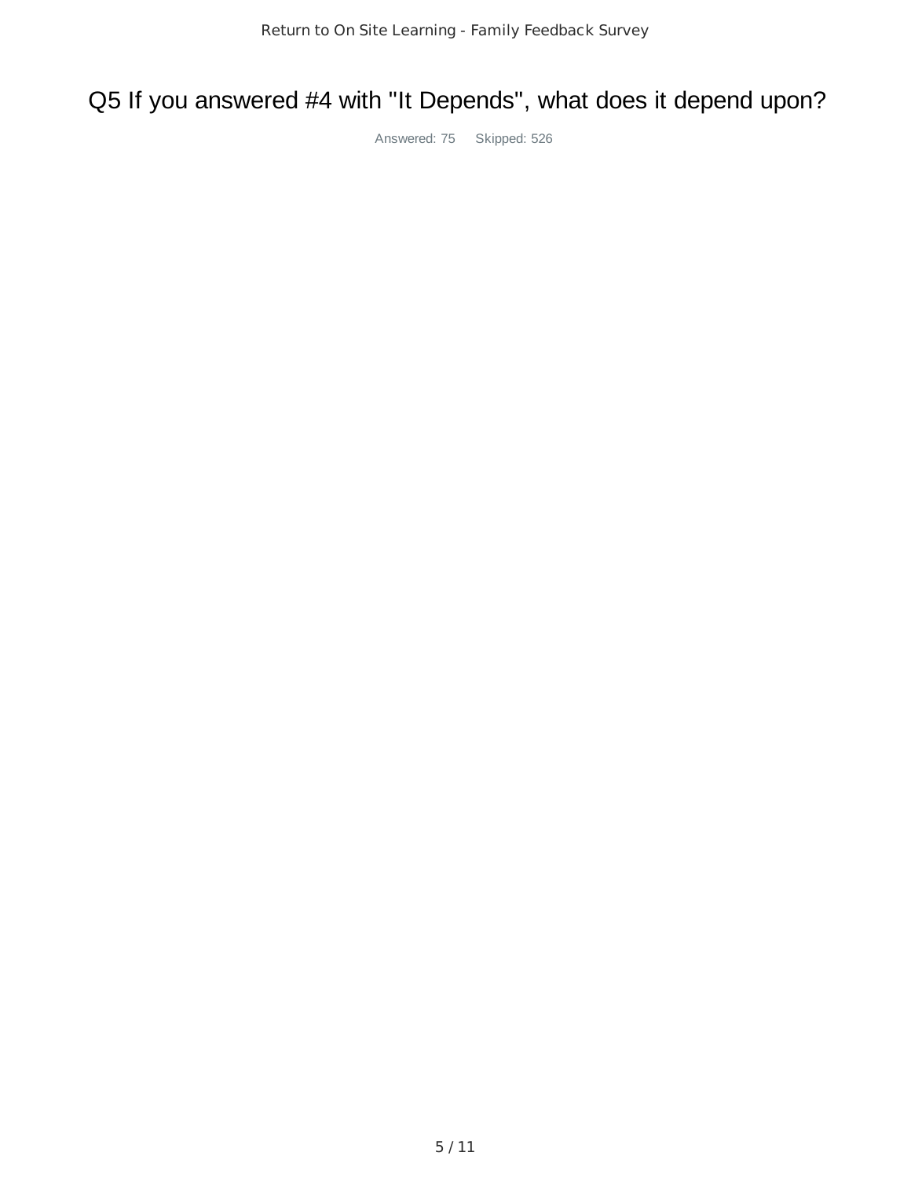# Q5 If you answered #4 with "It Depends", what does it depend upon?

Answered: 75 Skipped: 526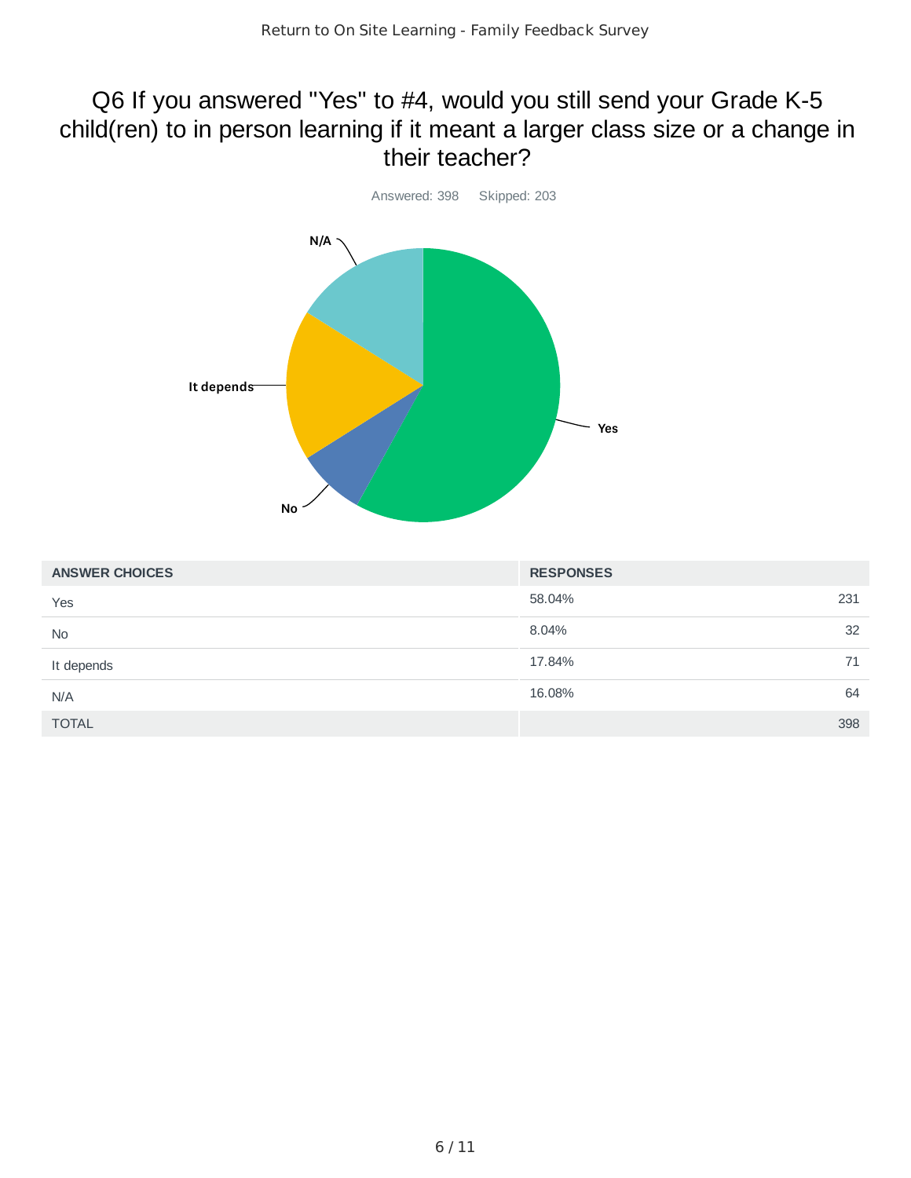### Q6 If you answered "Yes" to #4, would you still send your Grade K-5 child(ren) to in person learning if it meant a larger class size or a change in their teacher?



| <b>ANSWER CHOICES</b> | <b>RESPONSES</b> |     |
|-----------------------|------------------|-----|
| Yes                   | 58.04%           | 231 |
| No                    | 8.04%            | 32  |
| It depends            | 17.84%           | 71  |
| N/A                   | 16.08%           | 64  |
| <b>TOTAL</b>          |                  | 398 |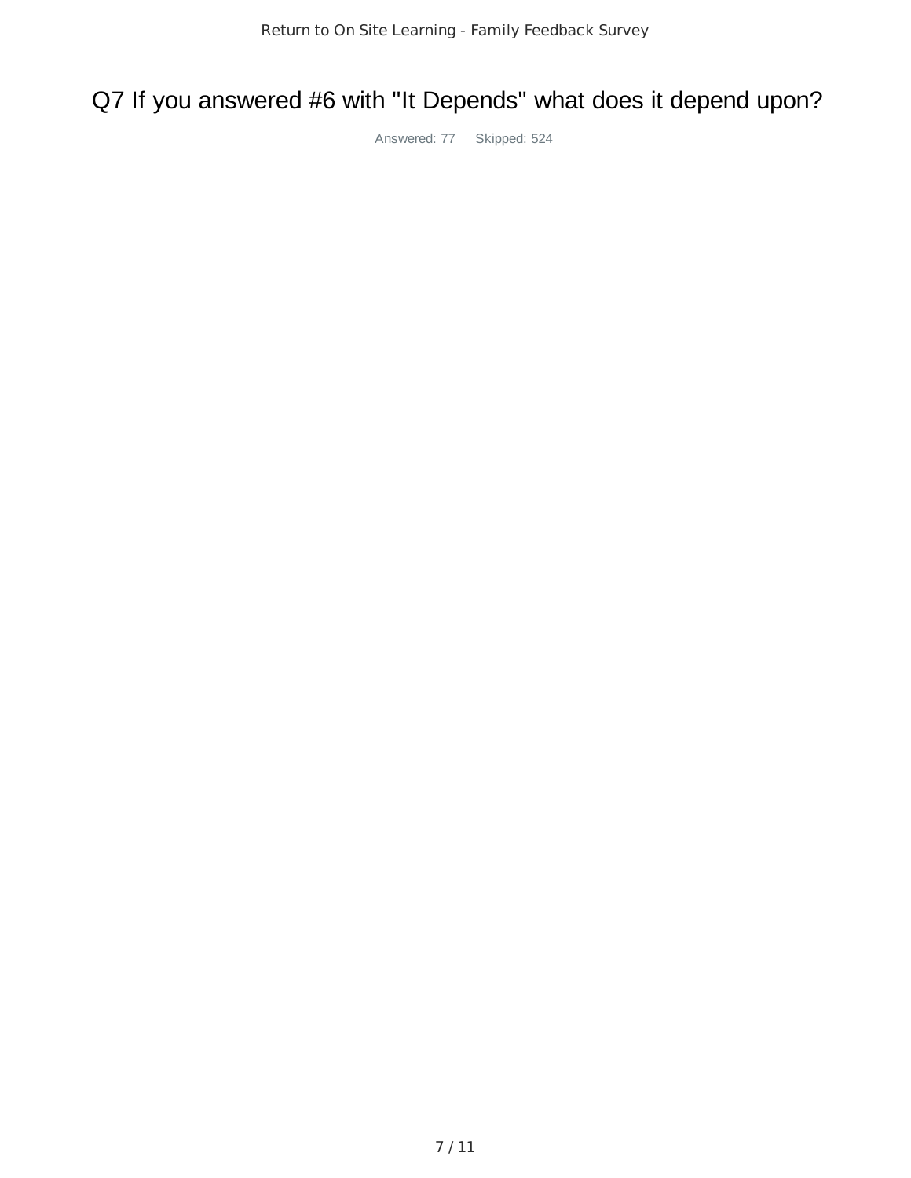## Q7 If you answered #6 with "It Depends" what does it depend upon?

Answered: 77 Skipped: 524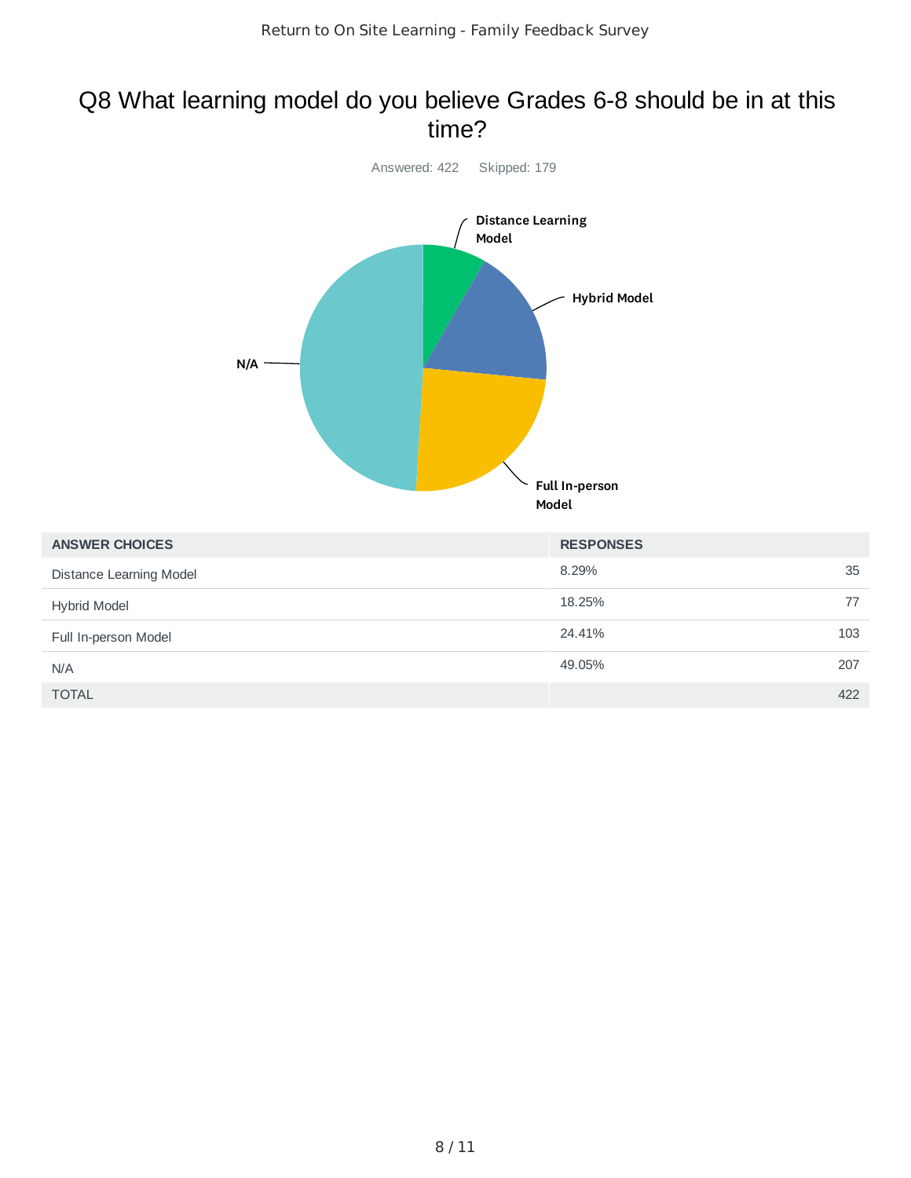### Q8 What learning model do you believe Grades 6-8 should be in at this time?



| <b>ANSWER CHOICES</b>   | <b>RESPONSES</b> |     |
|-------------------------|------------------|-----|
| Distance Learning Model | 8.29%            | 35  |
| <b>Hybrid Model</b>     | 18.25%           | 77  |
| Full In-person Model    | 24.41%           | 103 |
| N/A                     | 49.05%           | 207 |
| <b>TOTAL</b>            |                  | 422 |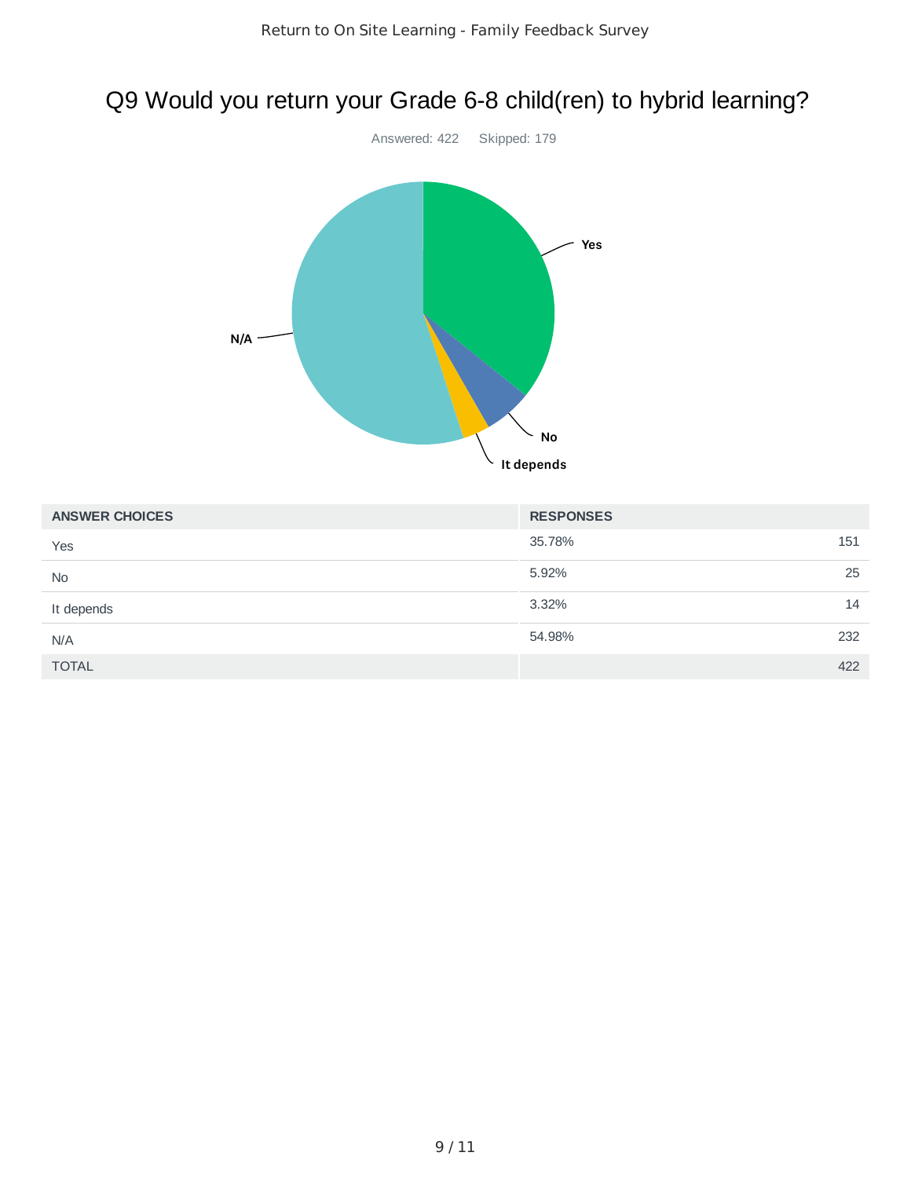# Q9 Would you return your Grade 6-8 child(ren) to hybrid learning?



| <b>ANSWER CHOICES</b> | <b>RESPONSES</b> |     |
|-----------------------|------------------|-----|
| Yes                   | 35.78%           | 151 |
| <b>No</b>             | 5.92%            | 25  |
| It depends            | 3.32%            | 14  |
| N/A                   | 54.98%           | 232 |
| <b>TOTAL</b>          |                  | 422 |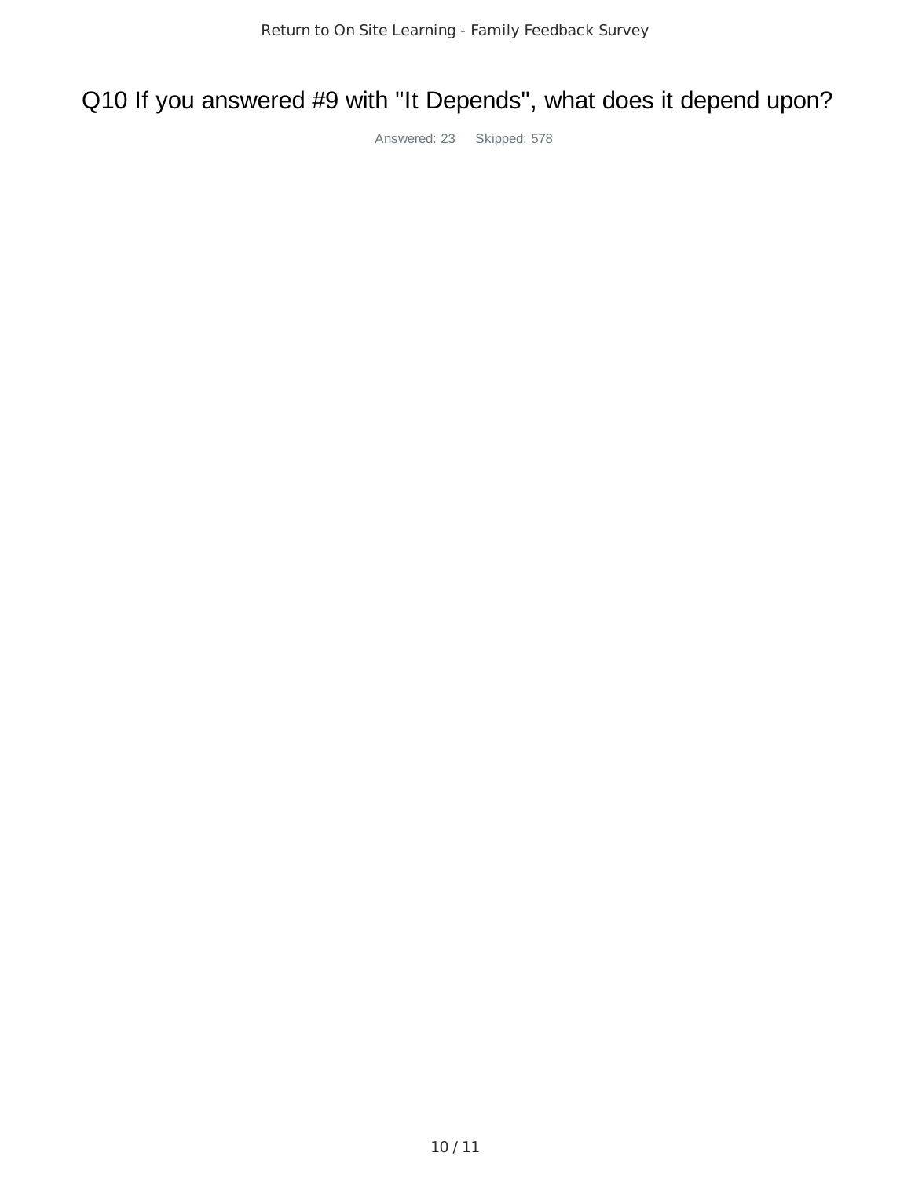# Q10 If you answered #9 with "It Depends", what does it depend upon?

Answered: 23 Skipped: 578